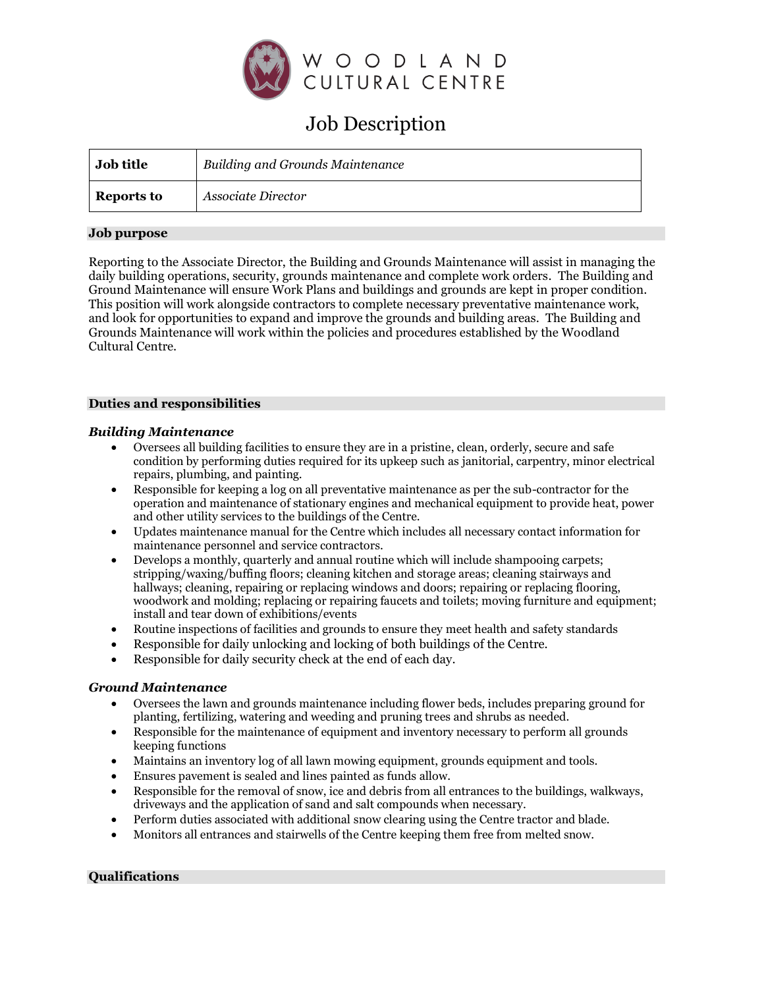

# Job Description

| <b>Job title</b>  | <b>Building and Grounds Maintenance</b> |
|-------------------|-----------------------------------------|
| <b>Reports to</b> | Associate Director                      |

### **Job purpose**

Reporting to the Associate Director, the Building and Grounds Maintenance will assist in managing the daily building operations, security, grounds maintenance and complete work orders. The Building and Ground Maintenance will ensure Work Plans and buildings and grounds are kept in proper condition. This position will work alongside contractors to complete necessary preventative maintenance work, and look for opportunities to expand and improve the grounds and building areas. The Building and Grounds Maintenance will work within the policies and procedures established by the Woodland Cultural Centre.

#### **Duties and responsibilities**

### *Building Maintenance*

- Oversees all building facilities to ensure they are in a pristine, clean, orderly, secure and safe condition by performing duties required for its upkeep such as janitorial, carpentry, minor electrical repairs, plumbing, and painting.
- Responsible for keeping a log on all preventative maintenance as per the sub-contractor for the operation and maintenance of stationary engines and mechanical equipment to provide heat, power and other utility services to the buildings of the Centre.
- Updates maintenance manual for the Centre which includes all necessary contact information for maintenance personnel and service contractors.
- Develops a monthly, quarterly and annual routine which will include shampooing carpets; stripping/waxing/buffing floors; cleaning kitchen and storage areas; cleaning stairways and hallways; cleaning, repairing or replacing windows and doors; repairing or replacing flooring, woodwork and molding; replacing or repairing faucets and toilets; moving furniture and equipment; install and tear down of exhibitions/events
- Routine inspections of facilities and grounds to ensure they meet health and safety standards
- Responsible for daily unlocking and locking of both buildings of the Centre.
- Responsible for daily security check at the end of each day.

## *Ground Maintenance*

- Oversees the lawn and grounds maintenance including flower beds, includes preparing ground for planting, fertilizing, watering and weeding and pruning trees and shrubs as needed.
- Responsible for the maintenance of equipment and inventory necessary to perform all grounds keeping functions
- Maintains an inventory log of all lawn mowing equipment, grounds equipment and tools.
- Ensures pavement is sealed and lines painted as funds allow.
- Responsible for the removal of snow, ice and debris from all entrances to the buildings, walkways, driveways and the application of sand and salt compounds when necessary.
- Perform duties associated with additional snow clearing using the Centre tractor and blade.
- Monitors all entrances and stairwells of the Centre keeping them free from melted snow.

## **Qualifications**